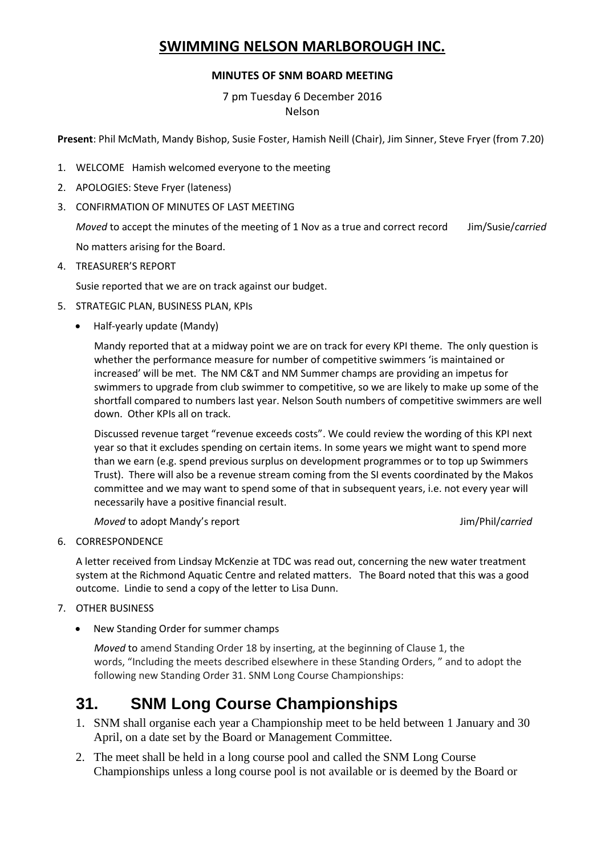## **SWIMMING NELSON MARLBOROUGH INC.**

### **MINUTES OF SNM BOARD MEETING**

7 pm Tuesday 6 December 2016 Nelson

**Present**: Phil McMath, Mandy Bishop, Susie Foster, Hamish Neill (Chair), Jim Sinner, Steve Fryer (from 7.20)

- 1. WELCOME Hamish welcomed everyone to the meeting
- 2. APOLOGIES: Steve Fryer (lateness)
- 3. CONFIRMATION OF MINUTES OF LAST MEETING

*Moved* to accept the minutes of the meeting of 1 Nov as a true and correct record Jim/Susie/*carried* No matters arising for the Board.

4. TREASURER'S REPORT

Susie reported that we are on track against our budget.

- 5. STRATEGIC PLAN, BUSINESS PLAN, KPIs
	- Half-yearly update (Mandy)

Mandy reported that at a midway point we are on track for every KPI theme. The only question is whether the performance measure for number of competitive swimmers 'is maintained or increased' will be met. The NM C&T and NM Summer champs are providing an impetus for swimmers to upgrade from club swimmer to competitive, so we are likely to make up some of the shortfall compared to numbers last year. Nelson South numbers of competitive swimmers are well down. Other KPIs all on track.

Discussed revenue target "revenue exceeds costs". We could review the wording of this KPI next year so that it excludes spending on certain items. In some years we might want to spend more than we earn (e.g. spend previous surplus on development programmes or to top up Swimmers Trust). There will also be a revenue stream coming from the SI events coordinated by the Makos committee and we may want to spend some of that in subsequent years, i.e. not every year will necessarily have a positive financial result.

*Moved* to adopt Mandy's report **Accord Accord Accord Accord Accord Accord Accord Accord Accord Jim/Phil/***carried* 

### 6. CORRESPONDENCE

A letter received from Lindsay McKenzie at TDC was read out, concerning the new water treatment system at the Richmond Aquatic Centre and related matters. The Board noted that this was a good outcome. Lindie to send a copy of the letter to Lisa Dunn.

- 7. OTHER BUSINESS
	- New Standing Order for summer champs

*Moved* to amend Standing Order 18 by inserting, at the beginning of Clause 1, the words, "Including the meets described elsewhere in these Standing Orders, " and to adopt the following new Standing Order 31. SNM Long Course Championships:

# **31. SNM Long Course Championships**

- 1. SNM shall organise each year a Championship meet to be held between 1 January and 30 April, on a date set by the Board or Management Committee.
- 2. The meet shall be held in a long course pool and called the SNM Long Course Championships unless a long course pool is not available or is deemed by the Board or